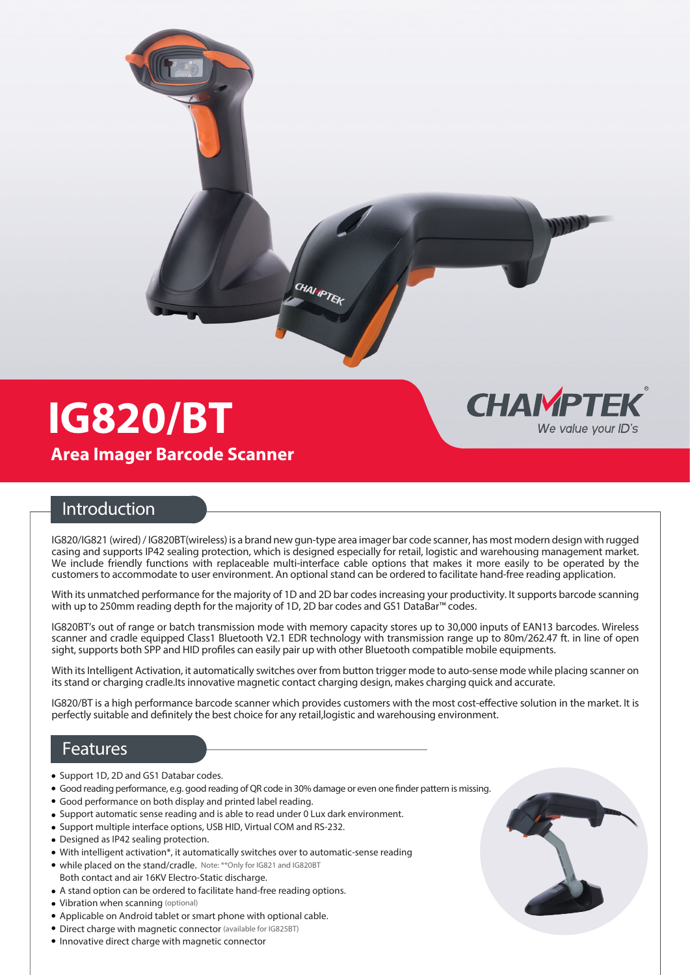

## **IG820/BT Area Imager Barcode Scanner**

## **CHAIMPTEK** We value vour ID's

## **Introduction**

IG820/IG821 (wired) / IG820BT(wireless) is a brand new gun-type area imager bar code scanner, has most modern design with rugged casing and supports IP42 sealing protection, which is designed especially for retail, logistic and warehousing management market. We include friendly functions with replaceable multi-interface cable options that makes it more easily to be operated by the customers to accommodate to user environment. An optional stand can be ordered to facilitate hand-free reading application.

With its unmatched performance for the majority of 1D and 2D bar codes increasing your productivity. It supports barcode scanning with up to 250mm reading depth for the majority of 1D, 2D bar codes and GS1 DataBar™ codes.

IG820BT's out of range or batch transmission mode with memory capacity stores up to 30,000 inputs of EAN13 barcodes. Wireless scanner and cradle equipped Class1 Bluetooth V2.1 EDR technology with transmission range up to 80m/262.47 ft. in line of open sight, supports both SPP and HID profiles can easily pair up with other Bluetooth compatible mobile equipments.

With its Intelligent Activation, it automatically switches over from button trigger mode to auto-sense mode while placing scanner on its stand or charging cradle.Its innovative magnetic contact charging design, makes charging quick and accurate.

IG820/BT is a high performance barcode scanner which provides customers with the most cost-effective solution in the market. It is perfectly suitable and definitely the best choice for any retail, logistic and warehousing environment.

## **Features**

- Support 1D, 2D and GS1 Databar codes.
- Good reading performance, e.g. good reading of QR code in 30% damage or even one finder pattern is missing.
- Good performance on both display and printed label reading.
- Support automatic sense reading and is able to read under 0 Lux dark environment.
- Support multiple interface options, USB HID, Virtual COM and RS-232.
- Designed as IP42 sealing protection.
- With intelligent activation\*, it automatically switches over to automatic-sense reading
- while placed on the stand/cradle. Note: \*\*Only for IG821 and IG820BT Both contact and air 16KV Electro-Static discharge.
- A stand option can be ordered to facilitate hand-free reading options.
- Vibration when scanning (optional)
- Applicable on Android tablet or smart phone with optional cable.
- Direct charge with magnetic connector (available for IG825BT)
- Innovative direct charge with magnetic connector